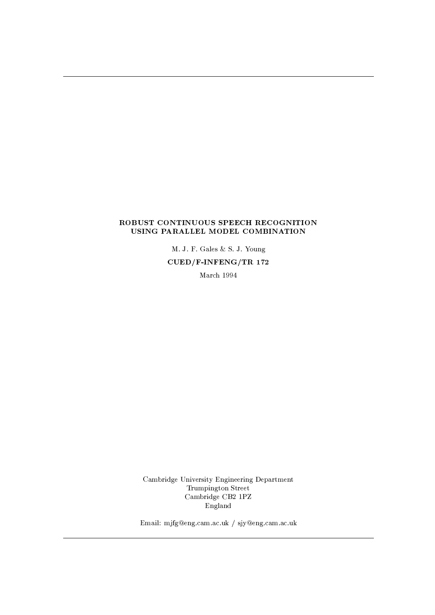## ROBUST CONTINUOUS SPEECH RECOGNITION USING PARALLEL MODEL COMBINATION

M. J. F. Gales & S. J. Young  $CUED/F-INFERG/TR$  172

March 1994

Cambridge University Engineering Department Trumpington Street Cambridge CB2 1PZ England

Email: mjfg@eng.cam.ac.uk / sjy@eng.cam.ac.uk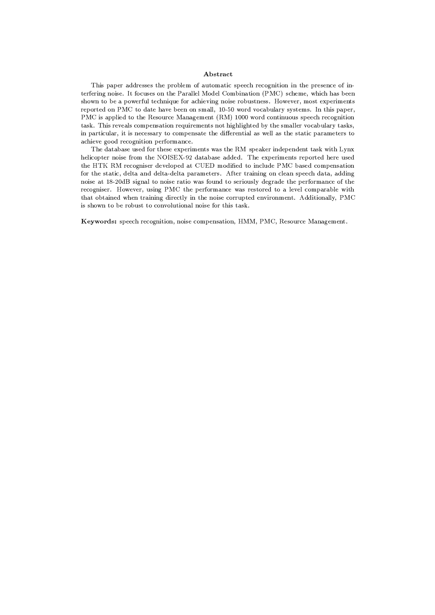## Abstract

This paper addresses the problem of automatic speech recognition in the presence of interfering noise. It focuses on the Parallel Model Combination (PMC) scheme, which has been shown to be a powerful technique for achieving noise robustness. However, most experiments reported on PMC to date have been on small, 10-50 word vocabulary systems. In this paper, PMC is applied to the Resource Management (RM) 1000 word continuous speech recognition task. This reveals compensation requirements not highlighted by the smaller vocabulary tasks, in particular, it is necessary to compensate the differential as well as the static parameters to achieve good recognition performance.

The database used for these experiments was the RM speaker independent task with Lynx helicopter noise from the NOISEX-92 database added. The experiments reported here used the HTK RM recogniser developed at CUED modified to include PMC based compensation for the static, delta and delta-delta parameters. After training on clean speech data, adding noise at 18-20dB signal to noise ratio was found to seriously degrade the performance of the recogniser. However, using PMC the performance was restored to a level comparable with that obtained when training directly in the noise corrupted environment. Additionally, PMC is shown to be robust to convolutional noise for this task.

Keywords: speech recognition, noise compensation, HMM, PMC, Resource Management.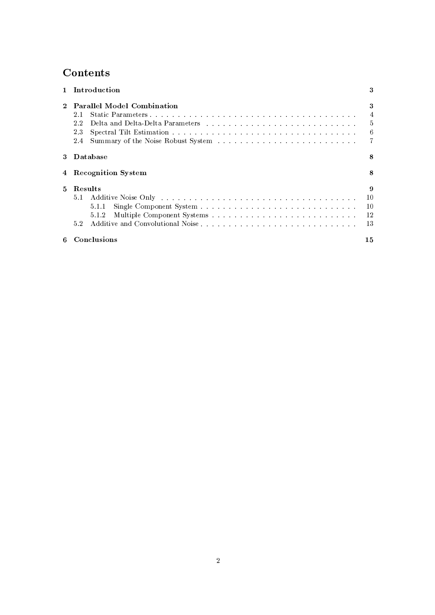# Contents

|    | Introduction                                                                                                                                                                                                                                                                  | 3                            |
|----|-------------------------------------------------------------------------------------------------------------------------------------------------------------------------------------------------------------------------------------------------------------------------------|------------------------------|
|    | <b>Parallel Model Combination</b><br>2.1<br>22<br>23<br>2.4                                                                                                                                                                                                                   | 3<br>4<br>$\frac{5}{2}$<br>6 |
| 3. | Database                                                                                                                                                                                                                                                                      | 8                            |
|    | 4 Recognition System                                                                                                                                                                                                                                                          | 8                            |
| 5. | Results<br>Additive Noise Only the contract of the contract of the contract of the contract of the contract of the contract of the contract of the contract of the contract of the contract of the contract of the contract of the contra<br>$5.1 -$<br>5.1.1<br>5.1.2<br>5.2 | 9<br>10<br>10<br>12<br>13    |
| 6  | Conclusions                                                                                                                                                                                                                                                                   | 15                           |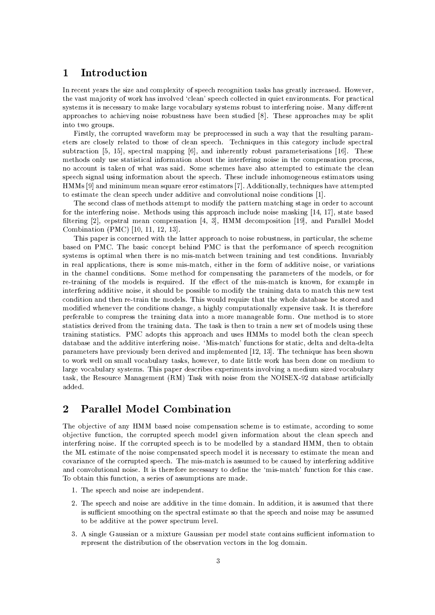## Introduction  $\mathbf{1}$

In recent years the size and complexity of speech recognition tasks has greatly increased. However, the vast majority of work has involved 'clean' speech collected in quiet environments. For practical systems it is necessary to make large vocabulary systems robust to interfering noise. Many different approaches to achieving noise robustness have been studied [8]. These approaches may be split into two groups.

Firstly, the corrupted waveform may be preprocessed in such a way that the resulting parameters are closely related to those of clean speech. Techniques in this category include spectral subtraction [5, 15], spectral mapping  $[6]$ , and inherently robust parameterisations [16]. These methods only use statistical information about the interfering noise in the compensation process. no account is taken of what was said. Some schemes have also attempted to estimate the clean speech signal using information about the speech. These include inhomogeneous estimators using HMMs [9] and minimum mean square error estimators [7]. Additionally, techniques have attempted to estimate the clean speech under additive and convolutional noise conditions [1].

The second class of methods attempt to modify the pattern matching stage in order to account for the interfering noise. Methods using this approach include noise masking [14, 17], state based filtering [2], cepstral mean compensation [4, 3], HMM decomposition [19], and Parallel Model Combination (PMC) [10, 11, 12, 13].

This paper is concerned with the latter approach to noise robustness, in particular, the scheme based on PMC. The basic concept behind PMC is that the performance of speech recognition systems is optimal when there is no mis-match between training and test conditions. Invariably in real applications, there is some mis-match, either in the form of additive noise, or variations in the channel conditions. Some method for compensating the parameters of the models, or for re-training of the models is required. If the effect of the mis-match is known, for example in interfering additive noise, it should be possible to modify the training data to match this new test condition and then re-train the models. This would require that the whole database be stored and modified whenever the conditions change, a highly computationally expensive task. It is therefore preferable to compress the training data into a more manageable form. One method is to store statistics derived from the training data. The task is then to train a new set of models using these training statistics. PMC adopts this approach and uses HMMs to model both the clean speech database and the additive interfering noise. 'Mis-match' functions for static, delta and delta-delta parameters have previously been derived and implemented [12, 13]. The technique has been shown to work well on small vocabulary tasks, however, to date little work has been done on medium to large vocabulary systems. This paper describes experiments involving a medium sized vocabulary task, the Resource Management (RM) Task with noise from the NOISEX-92 database artificially added.

## **Parallel Model Combination**  $\overline{2}$

The objective of any HMM based noise compensation scheme is to estimate, according to some objective function, the corrupted speech model given information about the clean speech and interfering noise. If the corrupted speech is to be modelled by a standard HMM, then to obtain the ML estimate of the noise compensated speech model it is necessary to estimate the mean and covariance of the corrupted speech. The mis-match is assumed to be caused by interfering additive and convolutional noise. It is therefore necessary to define the 'mis-match' function for this case. To obtain this function, a series of assumptions are made.

- 1. The speech and noise are independent.
- 2. The speech and noise are additive in the time domain. In addition, it is assumed that there is sufficient smoothing on the spectral estimate so that the speech and noise may be assumed to be additive at the power spectrum level.
- 3. A single Gaussian or a mixture Gaussian per model state contains sufficient information to represent the distribution of the observation vectors in the log domain.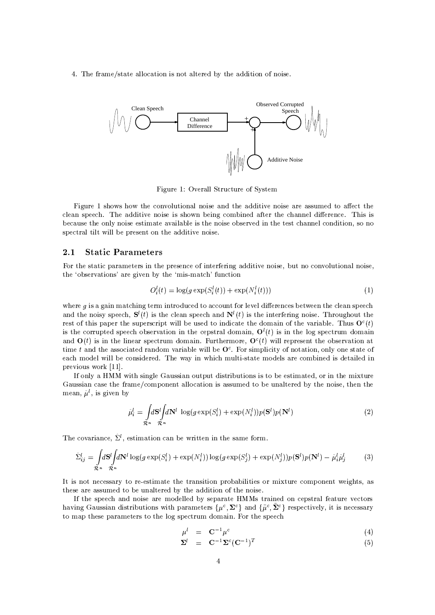4. The frame/state allocation is not altered by the addition of noise.



Figure 1: Overall Structure of System

Figure 1 shows how the convolutional noise and the additive noise are assumed to affect the clean speech. The additive noise is shown being combined after the channel difference. This is because the only noise estimate available is the noise observed in the test channel condition, so no spectral tilt will be present on the additive noise.

#### 2.1 **Static Parameters**

For the static parameters in the presence of interfering additive noise, but no convolutional noise, the 'observations' are given by the 'mis-match' function

$$
O_i^l(t) = \log(g \exp(S_i^l(t)) + \exp(N_i^l(t)))
$$
\n<sup>(1)</sup>

where  $g$  is a gain matching term introduced to account for level differences between the clean speech and the noisy speech,  $S^l(t)$  is the clean speech and  $N^l(t)$  is the interfering noise. Throughout the rest of this paper the superscript will be used to indicate the domain of the variable. Thus  $O<sup>c</sup>(t)$ is the corrupted speech observation in the cepstral domain,  $O^{l}(t)$  is in the log spectrum domain and  $O(t)$  is in the linear spectrum domain. Furthermore,  $O^{c}(t)$  will represent the observation at time t and the associated random variable will be  $O<sup>c</sup>$ . For simplicity of notation, only one state of each model will be considered. The way in which multi-state models are combined is detailed in previous work [11].

If only a HMM with single Gaussian output distributions is to be estimated, or in the mixture Gaussian case the frame/component allocation is assumed to be unaltered by the noise, then the mean,  $\hat{\mu}^l$ , is given by

$$
\hat{\mu}_i^l = \int_{\mathcal{R}^n} d\mathbf{S}^l \int d\mathbf{N}^l \, \log(g \exp(S_i^l) + \exp(N_i^l)) p(\mathbf{S}^l) p(\mathbf{N}^l)
$$
\n(2)

The covariance,  $\hat{\Sigma}^l$ , estimation can be written in the same form.

$$
\hat{\Sigma}_{ij}^l = \int_{\mathcal{R}^n} d\mathbf{S}^l \int d\mathbf{N}^l \log(g \exp(S_i^l) + \exp(N_i^l)) \log(g \exp(S_j^l) + \exp(N_j^l)) p(\mathbf{S}^l) p(\mathbf{N}^l) - \hat{\mu}_i^l \hat{\mu}_j^l \tag{3}
$$

It is not necessary to re-estimate the transition probabilities or mixture component weights, as these are assumed to be unaltered by the addition of the noise.

If the speech and noise are modelled by separate HMMs trained on cepstral feature vectors having Gaussian distributions with parameters  $\{\mu^c, \Sigma^c\}$  and  $\{\tilde{\mu}^c, \tilde{\Sigma}^c\}$  respectively, it is necessary to map these parameters to the log spectrum domain. For the speech

$$
\mu^l = \mathbf{C}^{-1} \mu^c \tag{4}
$$

$$
\Sigma^l = \mathbf{C}^{-1} \Sigma^c (\mathbf{C}^{-1})^T \tag{5}
$$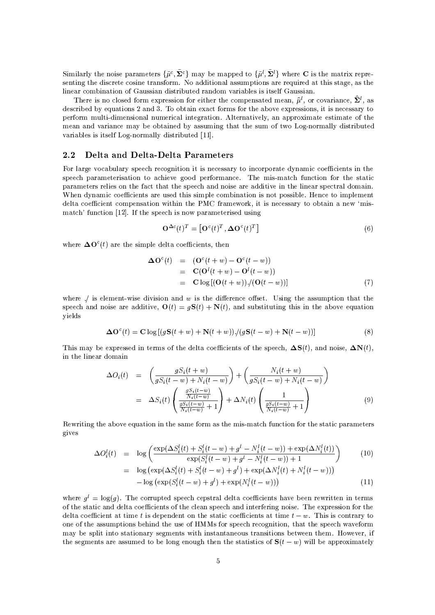Similarly the noise parameters  $\{\tilde{\mu}^c, \tilde{\Sigma}^c\}$  may be mapped to  $\{\tilde{\mu}^l, \tilde{\Sigma}^l\}$  where C is the matrix representing the discrete cosine transform. No additional assumptions are required at this stage, as the linear combination of Gaussian distributed random variables is itself Gaussian.

There is no closed form expression for either the compensated mean,  $\hat{\mu}^l$ , or covariance,  $\hat{\Sigma}^l$ , as described by equations 2 and 3. To obtain exact forms for the above expressions, it is necessary to perform multi-dimensional numerical integration. Alternatively, an approximate estimate of the mean and variance may be obtained by assuming that the sum of two Log-normally distributed variables is itself Log-normally distributed [11].

#### 2.2 Delta and Delta-Delta Parameters

For large vocabulary speech recognition it is necessary to incorporate dynamic coefficients in the speech parameterisation to achieve good performance. The mis-match function for the static parameters relies on the fact that the speech and noise are additive in the linear spectral domain. When dynamic coefficients are used this simple combination is not possible. Hence to implement delta coefficient compensation within the PMC framework, it is necessary to obtain a new 'mismatch' function [12]. If the speech is now parameterised using

$$
\mathbf{O}^{\Delta c}(t)^T = [\mathbf{O}^c(t)^T, \mathbf{\Delta O}^c(t)^T]
$$
\n(6)

where  $\Delta \mathbf{O}^{c}(t)$  are the simple delta coefficients, then

$$
\begin{array}{rcl}\n\Delta \mathbf{O}^c(t) & = & (\mathbf{O}^c(t+w) - \mathbf{O}^c(t-w)) \\
& = & \mathbf{C}(\mathbf{O}^l(t+w) - \mathbf{O}^l(t-w)) \\
& = & \mathbf{C} \log\left[ (\mathbf{O}(t+w)) / (\mathbf{O}(t-w)) \right]\n\end{array} \tag{7}
$$

where  $/$  is element-wise division and  $w$  is the difference offset. Using the assumption that the speech and noise are additive,  $O(t) = qS(t) + N(t)$ , and substituting this in the above equation yields

$$
\Delta O^{c}(t) = C \log [(gS(t+w) + N(t+w)) / (gS(t-w) + N(t-w))]
$$
\n(8)

This may be expressed in terms of the delta coefficients of the speech,  $\Delta S(t)$ , and noise,  $\Delta N(t)$ , in the linear domain

$$
\Delta O_i(t) = \left(\frac{gS_i(t+w)}{gS_i(t-w) + N_i(t-w)}\right) + \left(\frac{N_i(t+w)}{gS_i(t-w) + N_i(t-w)}\right)
$$

$$
= \Delta S_i(t) \left(\frac{\frac{gS_i(t-w)}{N_i(t-w)}}{\frac{gS_i(t-w)}{N_i(t-w)} + 1}\right) + \Delta N_i(t) \left(\frac{1}{\frac{gS_i(t-w)}{N_i(t-w)} + 1}\right)
$$
(9)

Rewriting the above equation in the same form as the mis-match function for the static parameters gives

$$
\Delta O_i^l(t) = \log \left( \frac{\exp(\Delta S_i^l(t) + S_i^l(t-w) + g^l - N_i^l(t-w)) + \exp(\Delta N_i^l(t))}{\exp(S_i^l(t-w) + g^l - N_i^l(t-w)) + 1} \right)
$$
(10)

$$
= \log (\exp(\Delta S_i^l(t) + S_i^l(t-w) + g^l) + \exp(\Delta N_i^l(t) + N_i^l(t-w))) - \log (\exp(S_i^l(t-w) + g^l) + \exp(N_i^l(t-w)))
$$
\n(11)

where  $q^{l} = \log(q)$ . The corrupted speech cepstral delta coefficients have been rewritten in terms of the static and delta coefficients of the clean speech and interfering noise. The expression for the delta coefficient at time t is dependent on the static coefficients at time  $t - w$ . This is contrary to one of the assumptions behind the use of HMMs for speech recognition, that the speech waveform may be split into stationary segments with instantaneous transitions between them. However, if the segments are assumed to be long enough then the statistics of  $S(t-w)$  will be approximately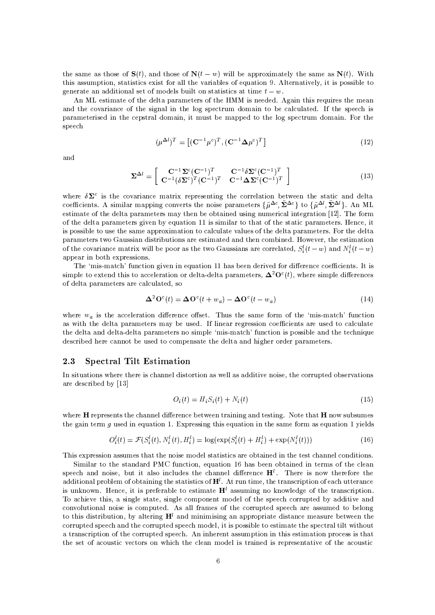the same as those of  $S(t)$ , and those of  $N(t-w)$  will be approximately the same as  $N(t)$ . With this assumption, statistics exist for all the variables of equation 9. Alternatively, it is possible to generate an additional set of models built on statistics at time  $t - w$ .

An ML estimate of the delta parameters of the HMM is needed. Again this requires the mean and the covariance of the signal in the log spectrum domain to be calculated. If the speech is parameterised in the cepstral domain, it must be mapped to the log spectrum domain. For the speech

$$
(\mu^{\Delta l})^T = \left[ (\mathbf{C}^{-1} \mu^c)^T, (\mathbf{C}^{-1} \mathbf{\Delta} \mu^c)^T \right] \tag{12}
$$

and

$$
\Sigma^{\Delta l} = \begin{bmatrix} \mathbf{C}^{-1} \Sigma^c (\mathbf{C}^{-1})^T & \mathbf{C}^{-1} \delta \Sigma^c (\mathbf{C}^{-1})^T \\ \mathbf{C}^{-1} (\delta \Sigma^c)^T (\mathbf{C}^{-1})^T & \mathbf{C}^{-1} \mathbf{\Delta} \Sigma^c (\mathbf{C}^{-1})^T \end{bmatrix}
$$
(13)

where  $\delta\Sigma^c$  is the covariance matrix representing the correlation between the static and delta coefficients. A similar mapping converts the noise parameters  $\{\tilde{\mu}^{\Delta c}, \tilde{\Sigma}^{\Delta c}\}\;$  to  $\{\tilde{\mu}^{\Delta l}, \tilde{\Sigma}^{\Delta l}\}\;$ . An ML estimate of the delta parameters may then be obtained using numerical integration [12]. The form of the delta parameters given by equation 11 is similar to that of the static parameters. Hence, it is possible to use the same approximation to calculate values of the delta parameters. For the delta parameters two Gaussian distributions are estimated and then combined. However, the estimation of the covariance matrix will be poor as the two Gaussians are correlated,  $S_i^l(t-w)$  and  $N_i^l(t-w)$ appear in both expressions.

The 'mis-match' function given in equation 11 has been derived for difference coefficients. It is simple to extend this to acceleration or delta-delta parameters,  $\mathbf{\Delta}^2 \mathbf{O}^c(t)$ , where simple differences of delta parameters are calculated, so

$$
\mathbf{\Delta}^2 \mathbf{O}^c(t) = \mathbf{\Delta} \mathbf{O}^c(t + w_a) - \mathbf{\Delta} \mathbf{O}^c(t - w_a)
$$
\n(14)

where  $w_a$  is the acceleration difference offset. Thus the same form of the 'mis-match' function as with the delta parameters may be used. If linear regression coefficients are used to calculate the delta and delta-delta parameters no simple 'mis-match' function is possible and the technique described here cannot be used to compensate the delta and higher order parameters.

#### $2.3$ **Spectral Tilt Estimation**

In situations where there is channel distortion as well as additive noise, the corrupted observations are described by [13]

$$
O_i(t) = H_i S_i(t) + N_i(t) \tag{15}
$$

where  $H$  represents the channel difference between training and testing. Note that  $H$  now subsumes the gain term  $g$  used in equation 1. Expressing this equation in the same form as equation 1 yields

$$
O_i^l(t) = \mathcal{F}(S_i^l(t), N_i^l(t), H_i^l) = \log(\exp(S_i^l(t) + H_i^l) + \exp(N_i^l(t)))
$$
\n(16)

This expression assumes that the noise model statistics are obtained in the test channel conditions.

Similar to the standard PMC function, equation 16 has been obtained in terms of the clean speech and noise, but it also includes the channel difference  $H<sup>l</sup>$ . There is now therefore the additional problem of obtaining the statistics of  $H<sup>l</sup>$ . At run time, the transcription of each utterance is unknown. Hence, it is preferable to estimate  $H<sup>l</sup>$  assuming no knowledge of the transcription. To achieve this, a single state, single component model of the speech corrupted by additive and convolutional noise is computed. As all frames of the corrupted speech are assumed to belong to this distribution, by altering  $H<sup>l</sup>$  and minimising an appropriate distance measure between the corrupted speech and the corrupted speech model, it is possible to estimate the spectral tilt without a transcription of the corrupted speech. An inherent assumption in this estimation process is that the set of acoustic vectors on which the clean model is trained is representative of the acoustic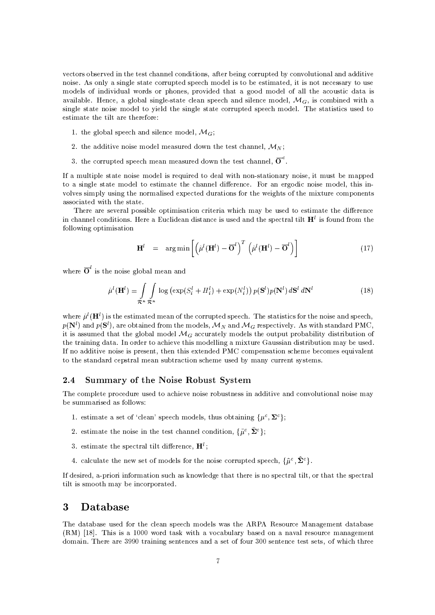vectors observed in the test channel conditions, after being corrupted by convolutional and additive noise. As only a single state corrupted speech model is to be estimated, it is not necessary to use models of individual words or phones, provided that a good model of all the acoustic data is available. Hence, a global single-state clean speech and silence model,  $\mathcal{M}_G$  is combined with a single state noise model to vield the single state corrupted speech model. The statistics used to estimate the tilt are therefore:

- 1. the global speech and silence model,  $\mathcal{M}_G$ ;
- 2. the additive noise model measured down the test channel,  $\mathcal{M}_N$ ;
- 3. the corrupted speech mean measured down the test channel,  $\overline{O}^c$ .

If a multiple state noise model is required to deal with non-stationary noise, it must be mapped to a single state model to estimate the channel difference. For an ergodic noise model, this involves simply using the normalised expected durations for the weights of the mixture components associated with the state.

There are several possible optimisation criteria which may be used to estimate the difference in channel conditions. Here a Euclidean distance is used and the spectral tilt  $H<sup>l</sup>$  is found from the following optimisation

$$
\mathbf{H}^{l} = \arg \min \left[ \left( \hat{\mu}^{l}(\mathbf{H}^{l}) - \overline{\mathbf{O}}^{l} \right)^{T} \left( \hat{\mu}^{l}(\mathbf{H}^{l}) - \overline{\mathbf{O}}^{l} \right) \right]
$$
(17)

where  $\overline{O}^l$  is the noise global mean and

$$
\hat{\mu}^l(\mathbf{H}^l) = \int_{\mathcal{R}^n} \int_{\mathcal{R}^n} \log \left( \exp(S_i^l + H_i^l) + \exp(N_i^l) \right) p(\mathbf{S}^l) p(\mathbf{N}^l) d\mathbf{S}^l d\mathbf{N}^l \tag{18}
$$

where  $\hat{\mu}^l(\mathbf{H}^l)$  is the estimated mean of the corrupted speech. The statistics for the noise and speech,  $p(\mathbf{N}^l)$  and  $p(\mathbf{S}^l)$ , are obtained from the models,  $\mathcal{M}_N$  and  $\mathcal{M}_G$  respectively. As with standard PMC, it is assumed that the global model  $\mathcal{M}_G$  accurately models the output probability distribution of the training data. In order to achieve this modelling a mixture Gaussian distribution may be used. If no additive noise is present, then this extended PMC compensation scheme becomes equivalent to the standard cepstral mean subtraction scheme used by many current systems.

### **Summary of the Noise Robust System**  $2.4$

The complete procedure used to achieve noise robustness in additive and convolutional noise may be summarised as follows:

- 1. estimate a set of 'clean' speech models, thus obtaining  $\{\mu^c, \Sigma^c\}$ ;
- 2. estimate the noise in the test channel condition,  $\{\tilde{\mu}^c, \tilde{\Sigma}^c\}$ ;
- 3. estimate the spectral tilt difference,  $H<sup>l</sup>$ ;
- 4. calculate the new set of models for the noise corrupted speech,  $\{\hat{\mu}^c, \hat{\Sigma}^c\}$ .

If desired, a-priori information such as knowledge that there is no spectral tilt, or that the spectral tilt is smooth may be incorporated.

### Database 3

The database used for the clean speech models was the ARPA Resource Management database (RM) [18]. This is a 1000 word task with a vocabulary based on a naval resource management domain. There are 3990 training sentences and a set of four 300 sentence test sets, of which three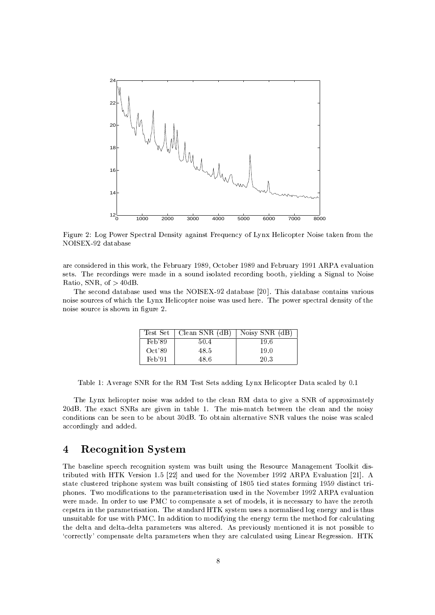

Figure 2: Log Power Spectral Density against Frequency of Lynx Helicopter Noise taken from the NOISEX-92 database

are considered in this work, the February 1989, October 1989 and February 1991 ARPA evaluation sets. The recordings were made in a sound isolated recording booth, yielding a Signal to Noise Ratio, SNR, of  $>$  40dB.

The second database used was the NOISEX-92 database [20]. This database contains various noise sources of which the Lynx Helicopter noise was used here. The power spectral density of the noise source is shown in figure 2.

|        | Test Set   Clean SNR (dB) | Noisy SNR (dB) |
|--------|---------------------------|----------------|
| Feb'89 | 50.4                      | 19.6           |
| Oct'89 | 48.5                      | 19.0           |
| Feb'91 | 48.6                      | 20.3           |

Table 1: Average SNR for the RM Test Sets adding Lynx Helicopter Data scaled by 0.1

The Lynx helicopter noise was added to the clean RM data to give a SNR of approximately 20dB. The exact SNRs are given in table 1. The mis-match between the clean and the noisy conditions can be seen to be about 30dB. To obtain alternative SNR values the noise was scaled accordingly and added.

### **Recognition System**  $\overline{\mathbf{4}}$

The baseline speech recognition system was built using the Resource Management Toolkit distributed with HTK Version 1.5 [22] and used for the November 1992 ARPA Evaluation [21]. A state clustered triphone system was built consisting of 1805 tied states forming 1959 distinct triphones. Two modifications to the parameterisation used in the November 1992 ARPA evaluation were made. In order to use PMC to compensate a set of models, it is necessary to have the zeroth cepstra in the parametrisation. The standard HTK system uses a normalised log energy and is thus unsuitable for use with PMC. In addition to modifying the energy term the method for calculating the delta and delta-delta parameters was altered. As previously mentioned it is not possible to 'correctly' compensate delta parameters when they are calculated using Linear Regression. HTK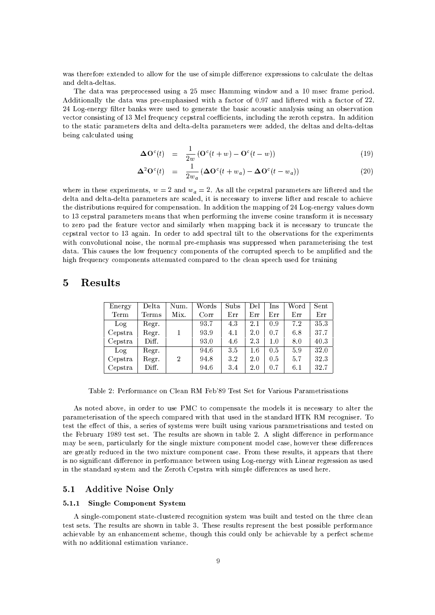was therefore extended to allow for the use of simple difference expressions to calculate the deltas and delta-deltas.

The data was preprocessed using a 25 msec Hamming window and a 10 msec frame period. Additionally the data was pre-emphasised with a factor of 0.97 and liftered with a factor of 22. 24 Log-energy filter banks were used to generate the basic acoustic analysis using an observation vector consisting of 13 Mel frequency cepstral coefficients, including the zeroth cepstra. In addition to the static parameters delta and delta-delta parameters were added, the deltas and delta-deltas being calculated using

$$
\Delta \mathbf{O}^c(t) = \frac{1}{2w} \left( \mathbf{O}^c(t+w) - \mathbf{O}^c(t-w) \right) \tag{19}
$$

$$
\Delta^2 \mathbf{O}^c(t) = \frac{1}{2w_a} \left( \Delta \mathbf{O}^c(t + w_a) - \Delta \mathbf{O}^c(t - w_a) \right) \tag{20}
$$

where in these experiments,  $w = 2$  and  $w_a = 2$ . As all the cepstral parameters are liftered and the delta and delta-delta parameters are scaled, it is necessary to inverse lifter and rescale to achieve the distributions required for compensation. In addition the mapping of 24 Log-energy values down to 13 cepstral parameters means that when performing the inverse cosine transform it is necessary to zero pad the feature vector and similarly when mapping back it is necessary to truncate the cepstral vector to 13 again. In order to add spectral tilt to the observations for the experiments with convolutional noise, the normal pre-emphasis was suppressed when parameterising the test data. This causes the low frequency components of the corrupted speech to be amplified and the high frequency components attenuated compared to the clean speech used for training

## $\overline{5}$ Results

| Energy  | Delta | Num.           | Words | Subs | Del | Ins | Word | Sent |
|---------|-------|----------------|-------|------|-----|-----|------|------|
| Term    | Terms | Mix.           | Corr  | Err  | Err | Err | Err  | Err  |
| Log     | Regr  |                | 93.7  | 4.3  | 2.1 | 0.9 | 7.2  | 35.3 |
| Cepstra | Regr. |                | 93.9  | 4.1  | 2.0 | 0.7 | 6.8  | 37.7 |
| Cepstra | Diff. |                | 93.0  | 4.6  | 2.3 | 1.0 | 8.0  | 40.3 |
| Log     | Regr  |                | 94.6  | 3.5  | 1.6 | 0.5 | 5.9  | 32.0 |
| Cepstra | Regr. | $\overline{2}$ | 94.8  | 32   | 2.0 | 0.5 | 5.7  | 32.3 |
| Cepstra | Diff. |                | 94.6  | 3.4  | 2.0 | 0.7 | 6.1  | 32.7 |

Table 2: Performance on Clean RM Feb'89 Test Set for Various Parametrisations

As noted above, in order to use PMC to compensate the models it is necessary to alter the parameterisation of the speech compared with that used in the standard HTK RM recogniser. To test the effect of this, a series of systems were built using various parametrisations and tested on the February 1989 test set. The results are shown in table 2. A slight difference in performance may be seen, particularly for the single mixture component model case, however these differences are greatly reduced in the two mixture component case. From these results, it appears that there is no significant difference in performance between using Log-energy with Linear regression as used in the standard system and the Zeroth Cepstra with simple differences as used here.

#### $5.1$ **Additive Noise Only**

#### $5.1.1$ **Single Component System**

A single-component state-clustered recognition system was built and tested on the three clean test sets. The results are shown in table 3. These results represent the best possible performance achievable by an enhancement scheme, though this could only be achievable by a perfect scheme with no additional estimation variance.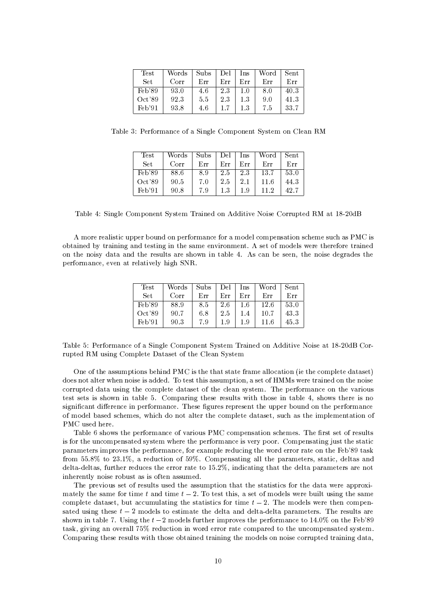| Test   | Words | Subs | Del | Ins | Word | Sent |
|--------|-------|------|-----|-----|------|------|
| Set    | Corr  | Err  | Err | Err | Err  | Err  |
| Feb'89 | 93.0  | 4.6  | 2.3 | 1.0 | 8.0  | 403  |
| Oct'89 | 923   | 5.5  | 2.3 | 13  | 9.0  | 41.3 |
| Feb'91 | 93.8  | 46   | 1.7 | 1.3 | 7.5  | 33.7 |

Table 3: Performance of a Single Component System on Clean RM

| Test   | Words | Subs | Del     | Ins     | Word | $\operatorname{Sent}$ |
|--------|-------|------|---------|---------|------|-----------------------|
| Set.   | Corr  | Err  | Err     | Err     | Err  | Err                   |
| Feb'89 | 88.6  | 89   | 2.5     | 2.3     | 13.7 | 53.0                  |
| Oct'89 | 90.5  | 7.0  | 2.5     | $2.1\,$ | 11.6 | 44.3                  |
| Feb'91 | 90.8  | 79   | $1.3\,$ | 19      | 11-2 | 42.7                  |

Table 4: Single Component System Trained on Additive Noise Corrupted RM at 18-20dB

A more realistic upper bound on performance for a model compensation scheme such as PMC is obtained by training and testing in the same environment. A set of models were therefore trained on the noisy data and the results are shown in table 4. As can be seen, the noise degrades the performance, even at relatively high SNR.

| Test       | Words | Subs | Del | Ins | Word | Sent |
|------------|-------|------|-----|-----|------|------|
| <b>Set</b> | Corr  | Err  | Err | Err | Err  | Err  |
| Feb'89     | 88.9  | 8.5  | 2.6 | 1.6 | 12.6 | 53.0 |
| Oct'89     | 90.7  | 6.8  | 2.5 | 1.4 | 10.7 | 43.3 |
| $Feb$ '91  | 90.3  | 79   | 19  | 1.9 | 11.6 | 45.3 |

Table 5: Performance of a Single Component System Trained on Additive Noise at 18-20dB Corrupted RM using Complete Dataset of the Clean System

One of the assumptions behind PMC is the that state frame allocation (ie the complete dataset) does not alter when noise is added. To test this assumption, a set of HMMs were trained on the noise corrupted data using the complete dataset of the clean system. The performance on the various test sets is shown in table 5. Comparing these results with those in table 4, shows there is no significant difference in performance. These figures represent the upper bound on the performance of model based schemes, which do not alter the complete dataset, such as the implementation of PMC used here.

Table 6 shows the performance of various PMC compensation schemes. The first set of results is for the uncompensated system where the performance is very poor. Compensating just the static parameters improves the performance, for example reducing the word error rate on the Feb'89 task from 55.8% to 23.1%, a reduction of 59%. Compensating all the parameters, static, deltas and delta-deltas, further reduces the error rate to 15.2%, indicating that the delta parameters are not inherently noise robust as is often assumed.

The previous set of results used the assumption that the statistics for the data were approximately the same for time t and time  $t-2$ . To test this, a set of models were built using the same complete dataset, but accumulating the statistics for time  $t-2$ . The models were then compensated using these  $t-2$  models to estimate the delta and delta-delta parameters. The results are shown in table 7. Using the  $t-2$  models further improves the performance to 14.0% on the Feb'89 task, giving an overall 75% reduction in word error rate compared to the uncompensated system. Comparing these results with those obtained training the models on noise corrupted training data,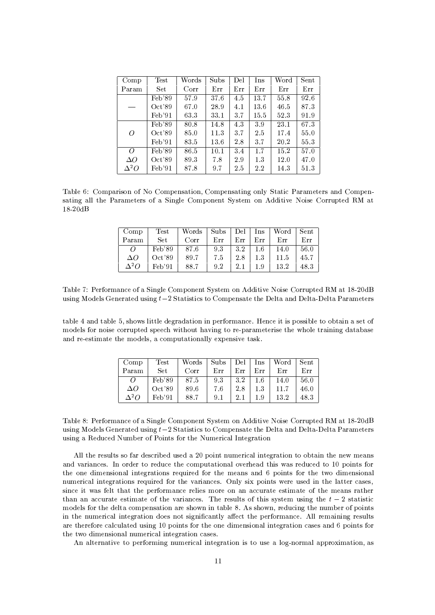| Comp        | $\operatorname{Test}$ | Words | Subs | Del | Ins  | Word | Sent |
|-------------|-----------------------|-------|------|-----|------|------|------|
| Param       | Set.                  | Corr  | Err  | Err | Err  | Err  | Err  |
|             | Feb'89                | 57.9  | 37.6 | 4.5 | 13.7 | 55.8 | 92.6 |
|             | Oct'89                | 67.0  | 28.9 | 4.1 | 13.6 | 46.5 | 87.3 |
|             | Feb'91                | 633   | 33.1 | 3.7 | 15.5 | 523  | 91.9 |
|             | Feb'89                | 80.8  | 14.8 | 4.3 | 39   | 23.1 | 67.3 |
| 0           | Oct'89                | 85.0  | 11.3 | 3.7 | 2.5  | 17.4 | 55.0 |
|             | Feb'91                | 83.5  | 13.6 | 28  | 3.7  | 20.2 | 55.3 |
| $\Omega$    | Feb'89                | 86.5  | 10.1 | 3.4 | 1.7  | 15.2 | 57.0 |
| $\Delta O$  | Oct'89                | 893   | 7.8  | 2.9 | 1.3  | 12.0 | 47.0 |
| $\Delta^2O$ | Feb'91                | 87.8  | 9.7  | 2.5 | 2.2  | 14.3 | 51.3 |

Table 6: Comparison of No Compensation, Compensating only Static Parameters and Compensating all the Parameters of a Single Component System on Additive Noise Corrupted RM at  $18-20dB$ 

| Comp              | Test                | Words | Subs | $\rm Del$ – | Ins     | Word | <b>Sent</b> |
|-------------------|---------------------|-------|------|-------------|---------|------|-------------|
| Param             | Set.                | Corr  | Err  | Err         | Err     | Err  | Err         |
| $\Omega$          | Feb'89              | 87.6  | 93   | 3.2         | $1.6\,$ | 14.0 | 56.0        |
| $\Delta O$        | Oct39               | 89.7  | 7.5  | 2.8         | 1.3     | 11.5 | 45.7        |
| $\Lambda^2\Omega$ | Fe <sub>b</sub> '91 | 88.7  | 9.2  | 2.1         | $1.9\,$ | 13.2 | 48.3        |

Table 7: Performance of a Single Component System on Additive Noise Corrupted RM at 18-20dB using Models Generated using  $t-2$  Statistics to Compensate the Delta and Delta-Delta Parameters

table 4 and table 5, shows little degradation in performance. Hence it is possible to obtain a set of models for noise corrupted speech without having to re-parameterise the whole training database and re-estimate the models, a computationally expensive task.

| Comp         | Test      | Words | Subs | Del | Ins     | Word | Sent |
|--------------|-----------|-------|------|-----|---------|------|------|
| Param        | Set.      | Corr  | Err  | Err | Err     | Err  | Err  |
| $\Omega$     | Feb'89    | 87.5  | 9.3  | 3.2 | $1.6\,$ | 14.0 | 56.0 |
| $\Delta O$   | Oct'89    | 89.6  | 7.6  | 2.8 | 1.3     | 11.7 | 46.0 |
| $\Lambda^2O$ | $Feb$ '91 | 88.7  | 9.1  | 2.1 | 1.9     | 13.2 | 483  |

Table 8: Performance of a Single Component System on Additive Noise Corrupted RM at 18-20dB using Models Generated using  $t-2$  Statistics to Compensate the Delta and Delta-Delta Parameters using a Reduced Number of Points for the Numerical Integration

All the results so far described used a 20 point numerical integration to obtain the new means and variances. In order to reduce the computational overhead this was reduced to 10 points for the one dimensional integrations required for the means and 6 points for the two dimensional numerical integrations required for the variances. Only six points were used in the latter cases, since it was felt that the performance relies more on an accurate estimate of the means rather than an accurate estimate of the variances. The results of this system using the  $t-2$  statistic models for the delta compensation are shown in table 8. As shown, reducing the number of points in the numerical integration does not significantly affect the performance. All remaining results are therefore calculated using 10 points for the one dimensional integration cases and 6 points for the two dimensional numerical integration cases.

An alternative to performing numerical integration is to use a log-normal approximation, as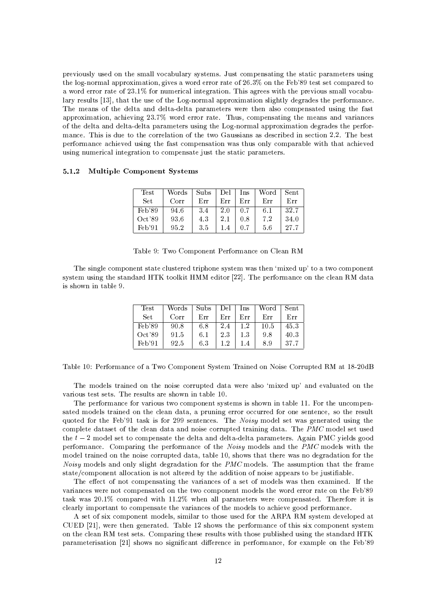previously used on the small vocabulary systems. Just compensating the static parameters using the log-normal approximation, gives a word error rate of  $26.3\%$  on the Feb'89 test set compared to a word error rate of 23.1% for numerical integration. This agrees with the previous small vocabulary results [13], that the use of the Log-normal approximation slightly degrades the performance. The means of the delta and delta-delta parameters were then also compensated using the fast approximation, achieving 23.7% word error rate. Thus, compensating the means and variances of the delta and delta-delta parameters using the Log-normal approximation degrades the performance. This is due to the correlation of the two Gaussians as described in section 2.2. The best performance achieved using the fast compensation was thus only comparable with that achieved using numerical integration to compensate just the static parameters.

## 5.1.2 Multiple Component Systems

| Test            | Words | Subs | Del | Ins | Word | Sent |
|-----------------|-------|------|-----|-----|------|------|
| <b>Set</b>      | Corr  | Err  | Err | Err | Err  | Err  |
| $\text{Feb}'89$ | 94.6  | 3.4  | 2.0 | 0.7 | 6.1  | 32.7 |
| Oct'89          | 93.6  | 4.3  | 2.1 | 0.8 | 7.2  | 34.0 |
| $Feb$ '91       | 95.2  | 3.5  |     |     | 5.6  | 27.7 |

|  | Table 9: Two Component Performance on Clean RM |  |  |
|--|------------------------------------------------|--|--|
|  |                                                |  |  |

The single component state clustered triphone system was then 'mixed up' to a two component system using the standard HTK toolkit HMM editor [22]. The performance on the clean RM data is shown in table 9.

| Test   | Words | Subs | Del | Ins     | Word | $\operatorname{Sent}$ |
|--------|-------|------|-----|---------|------|-----------------------|
| Set    | Corr  | Err  | Err | Err     | Err  | Err                   |
| Feb'89 | 90.8  | 6.8  | 2.4 | 1.2     | 10.5 | 45.3                  |
| Oct'89 | 91.5  | 6.1  | 23  | $1.3\,$ | 9.8  | 40.3                  |
| Feb'91 | 92.5  | 6.3  | 1.2 |         | 8.9  | 37.7                  |

Table 10: Performance of a Two Component System Trained on Noise Corrupted RM at 18-20dB

The models trained on the noise corrupted data were also 'mixed up' and evaluated on the various test sets. The results are shown in table 10.

The performance for various two component systems is shown in table 11. For the uncompensated models trained on the clean data, a pruning error occurred for one sentence, so the result quoted for the Feb'91 task is for 299 sentences. The Noisy model set was generated using the complete dataset of the clean data and noise corrupted training data. The PMC model set used the  $t-2$  model set to compensate the delta and delta-delta parameters. Again PMC yields good performance. Comparing the performance of the *Noisy* models and the *PMC* models with the model trained on the noise corrupted data, table 10, shows that there was no degradation for the *Noisy* models and only slight degradation for the *PMC* models. The assumption that the frame state/component allocation is not altered by the addition of noise appears to be justifiable.

The effect of not compensating the variances of a set of models was then examined. If the variances were not compensated on the two component models the word error rate on the Feb'89 task was 20.1% compared with 11.2% when all parameters were compensated. Therefore it is clearly important to compensate the variances of the models to achieve good performance.

A set of six component models, similar to those used for the ARPA RM system developed at CUED [21], were then generated. Table 12 shows the performance of this six component system on the clean RM test sets. Comparing these results with those published using the standard HTK parameterisation [21] shows no significant difference in performance, for example on the Feb'89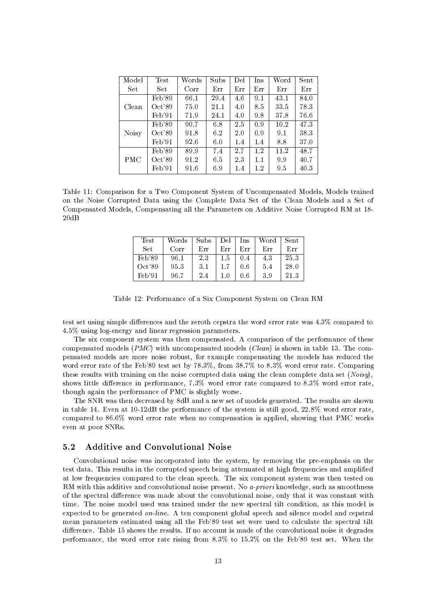| Model        | Test   | Words | Subs | Del | Ins | Word | Sent |
|--------------|--------|-------|------|-----|-----|------|------|
| <b>Set</b>   | Set.   | Corr  | Err  | Err | Err | Err  | Err  |
|              | Feb'89 | 66.1  | 29.4 | 4.6 | 9.1 | 43.1 | 84.0 |
| Clean        | Oct'89 | 75.0  | 21.1 | 4.0 | 8.5 | 33.5 | 783  |
|              | Feb'91 | 71.9  | 24.1 | 4.0 | 9.8 | 37.8 | 76.6 |
|              | Feb'89 | 90.7  | 6.8  | 2.5 | 0.9 | 10.2 | 473  |
| <b>Noisy</b> | Oct39  | 91.8  | 62   | 2.0 | 0.9 | 9.1  | 383  |
|              | Feb'91 | 92.6  | 6.0  | 1.4 | 1.4 | 8.8  | 37.0 |
|              | Feb'89 | 89.9  | 7.4  | 2.7 | 1.2 | 11.2 | 48.7 |
| <b>PMC</b>   | Oct'89 | 91.2  | 6.5  | 23  | 1.1 | 99   | 40.7 |
|              | Feb'91 | 91.6  | 6.9  | 14  | 1.2 | 95   | 40.3 |

Table 11: Comparison for a Two Component System of Uncompensated Models, Models trained on the Noise Corrupted Data using the Complete Data Set of the Clean Models and a Set of Compensated Models, Compensating all the Parameters on Additive Noise Corrupted RM at 18- $20dB$ 

| Test   | Words | Subs | Del | Ins | Word | $\operatorname{Sent}$ |
|--------|-------|------|-----|-----|------|-----------------------|
| Set    | Corr  | Err  | Err | Err | Err  | Err                   |
| Feb'89 | 96.1  | 2.3  | 1.5 | 0.4 | 43   | 25.3                  |
| Oct39  | 953   | 3.1  |     | 0.6 | 5.4  | 28.0                  |
| Feb'91 | 96.7  | 24   | 1.0 | 0.6 | 39   | 21.3                  |

Table 12: Performance of a Six Component System on Clean RM

test set using simple differences and the zeroth cepstra the word error rate was 4.3% compared to 4.5% using log-energy and linear regression parameters.

The six component system was then compensated. A comparison of the performance of these compensated models (*PMC*) with uncompensated models (*Clean*) is shown in table 13. The compensated models are more noise robust, for example compensating the models has reduced the word error rate of the Feb'89 test set by 78.3%, from 38.7% to 8.3% word error rate. Comparing these results with training on the noise corrupted data using the clean complete data set  $(Noisy)$ , shows little difference in performance, 7.3% word error rate compared to 8.3% word error rate, though again the performance of PMC is slightly worse.

The SNR was then decreased by 8dB and a new set of models generated. The results are shown in table 14. Even at 10-12dB the performance of the system is still good, 22.8% word error rate, compared to 86.6% word error rate when no compensation is applied, showing that PMC works even at poor SNRs.

#### $5.2$ **Additive and Convolutional Noise**

Convolutional noise was incorporated into the system, by removing the pre-emphasis on the test data. This results in the corrupted speech being attenuated at high frequencies and amplified at low frequencies compared to the clean speech. The six component system was then tested on RM with this additive and convolutional noise present. No *a-priori* knowledge, such as smoothness of the spectral difference was made about the convolutional noise, only that it was constant with time. The noise model used was trained under the new spectral tilt condition, as this model is expected to be generated on-line. A ten component global speech and silence model and cepstral mean parameters estimated using all the Feb'89 test set were used to calculate the spectral tilt difference. Table 15 shows the results. If no account is made of the convolutional noise it degrades performance, the word error rate rising from 8.3% to 15.2% on the Feb'89 test set. When the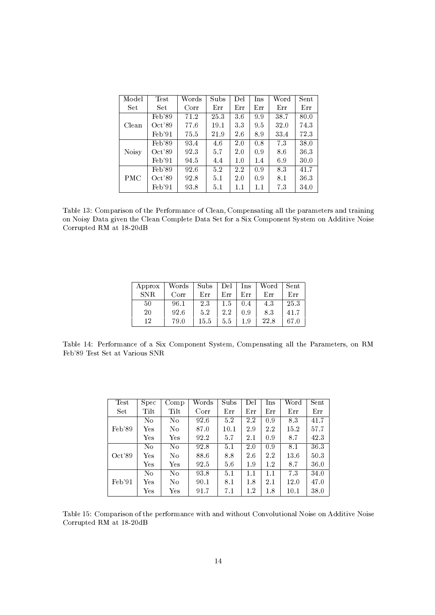| Model        | Test   | Words | Subs | Del     | Ins     | Word | Sent |
|--------------|--------|-------|------|---------|---------|------|------|
| Set          | Set.   | Corr  | Err  | Err     | Err     | Err  | Err  |
|              | Feb'89 | 71.2  | 25.3 | 36      | 9.9     | 38.7 | 80.0 |
| Clean        | Oct'89 | 77.6  | 19.1 | 3.3     | 95      | 32.0 | 74.3 |
|              | Feb'91 | 75.5  | 21.9 | 2.6     | 8.9     | 33.4 | 723  |
|              | Feb'89 | 93.4  | 4.6  | 2.0     | 0.8     | 73   | 38.0 |
| <b>Noisy</b> | Oct39  | 923   | 5.7  | 2.0     | 0.9     | 8.6  | 363  |
|              | Feb'91 | 94.5  | 4.4  | 1.0     | 1.4     | 6.9  | 30.0 |
|              | Feb'89 | 92.6  | 5.2  | 2.2     | 0.9     | 83   | 41.7 |
| <b>PMC</b>   | Oct39  | 92.8  | 5.1  | 2.0     | 0.9     | 8.1  | 36.3 |
|              | Feb'91 | 93.8  | 5.1  | $1.1\,$ | $1.1\,$ | 73   | 34.0 |

Table 13: Comparison of the Performance of Clean, Compensating all the parameters and training on Noisy Data given the Clean Complete Data Set for a Six Component System on Additive Noise Corrupted RM at 18-20dB

| Approx | Words | Subs | Del     | Ins | Word | Sent |
|--------|-------|------|---------|-----|------|------|
| SNR.   | Corr  | Err  | Err     | Err | Err  | Err  |
| 50     | 96.1  | 23   | $1.5\,$ | 0.4 | 4.3  | 25.3 |
| 20     | 92.6  | 5.2  | 2.2     | O 9 | 83   | 41.7 |
| 12     | 79.0  | 15.5 | 5.5     | 19  | 22.8 | 67.0 |

Table 14: Performance of a Six Component System, Compensating all the Parameters, on RM Feb'89 Test Set at Various SNR

| Test            | Spec                 | Comp           | Words | Subs | Del     | <b>lns</b> | Word | Sent |
|-----------------|----------------------|----------------|-------|------|---------|------------|------|------|
| Set             | Tilt                 | Tilt           | Corr  | Err  | Err     | Err        | Err  | Err  |
|                 | No                   | N <sub>0</sub> | 92.6  | 5.2  | 22      | 0.9        | 83   | 41.7 |
| $\text{Feb}'89$ | $\operatorname{Yes}$ | N <sub>0</sub> | 87.0  | 10.1 | 2.9     | 2.2        | 15.2 | 57.7 |
|                 | $\operatorname{Yes}$ | Yes            | 92.2  | 5.7  | $2.1\,$ | 0.9        | 8.7  | 423  |
|                 | No                   | N <sub>0</sub> | 92.8  | 5.1  | 2.0     | 0.9        | 8.1  | 36.3 |
| Oct'89          | Yes                  | N <sub>0</sub> | 88.6  | 8.8  | 2.6     | $2.2\,$    | 13.6 | 503  |
|                 | $\operatorname{Yes}$ | Yes            | 92.5  | 56   | 1.9     | 1.2        | 8.7  | 36.0 |
|                 | No                   | No             | 93.8  | 5.1  | 1.1     | 1.1        | 73   | 34.0 |
| $\text{Feb'}91$ | Yes                  | N <sub>0</sub> | 90.1  | 8.1  | 1.8     | 2.1        | 12.0 | 47.0 |
|                 | $\operatorname{Yes}$ | Yes            | 91.7  | 7.1  | $1.2\,$ | 1.8        | 10.1 | 38.0 |

Table 15: Comparison of the performance with and without Convolutional Noise on Additive Noise Corrupted RM at 18-20dB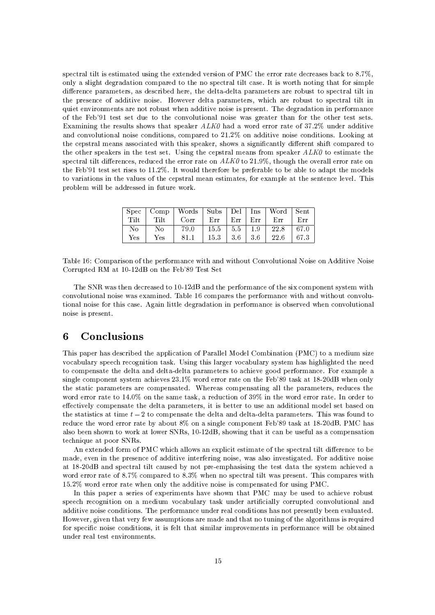spectral tilt is estimated using the extended version of PMC the error rate decreases back to 8.7%. only a slight degradation compared to the no spectral tilt case. It is worth noting that for simple difference parameters, as described here, the delta-delta parameters are robust to spectral tilt in the presence of additive noise. However delta parameters, which are robust to spectral tilt in quiet environments are not robust when additive noise is present. The degradation in performance of the Feb'91 test set due to the convolutional noise was greater than for the other test sets. Examining the results shows that speaker  $ALKO$  had a word error rate of 37.2% under additive and convolutional noise conditions, compared to 21.2% on additive noise conditions. Looking at the cepstral means associated with this speaker, shows a significantly different shift compared to the other speakers in the test set. Using the cepstral means from speaker ALKO to estimate the spectral tilt differences, reduced the error rate on  $ALK0$  to 21.9%, though the overall error rate on the Feb'91 test set rises to 11.2%. It would therefore be preferable to be able to adapt the models to variations in the values of the cepstral mean estimates, for example at the sentence level. This problem will be addressed in future work.

|      |      | Spec   Comp   Words   Subs   Del   Ins |                        |                  |      | Word   Sent |       |
|------|------|----------------------------------------|------------------------|------------------|------|-------------|-------|
| Tilt | Tilt | Corr                                   | Err                    | $Err$            | Err  | Err         | Err   |
| No   | N٥   | 79.0                                   | $15.5$   $5.5$   $1.9$ |                  |      | 22.8        | -67.0 |
| Yes  | Yes  | 81.1                                   | $15.3 -$               | 3.6 <sub>1</sub> | -3.6 | 22.6        | 67.3  |

Table 16: Comparison of the performance with and without Convolutional Noise on Additive Noise Corrupted RM at 10-12dB on the Feb'89 Test Set

The SNR was then decreased to 10-12dB and the performance of the six component system with convolutional noise was examined. Table 16 compares the performance with and without convolutional noise for this case. Again little degradation in performance is observed when convolutional noise is present.

## Conclusions 6

This paper has described the application of Parallel Model Combination (PMC) to a medium size vocabulary speech recognition task. Using this larger vocabulary system has highlighted the need to compensate the delta and delta-delta parameters to achieve good performance. For example a single component system achieves 23.1% word error rate on the Feb'89 task at 18-20dB when only the static parameters are compensated. Whereas compensating all the parameters, reduces the word error rate to 14.0% on the same task, a reduction of 39% in the word error rate. In order to effectively compensate the delta parameters, it is better to use an additional model set based on the statistics at time  $t-2$  to compensate the delta and delta-delta parameters. This was found to reduce the word error rate by about 8% on a single component Feb'89 task at 18-20dB. PMC has also been shown to work at lower SNRs, 10-12dB, showing that it can be useful as a compensation technique at poor SNRs.

An extended form of PMC which allows an explicit estimate of the spectral tilt difference to be made, even in the presence of additive interfering noise, was also investigated. For additive noise at 18-20dB and spectral tilt caused by not pre-emphasising the test data the system achieved a word error rate of 8.7% compared to 8.3% when no spectral tilt was present. This compares with 15.2% word error rate when only the additive noise is compensated for using PMC.

In this paper a series of experiments have shown that PMC may be used to achieve robust speech recognition on a medium vocabulary task under artificially corrupted convolutional and additive noise conditions. The performance under real conditions has not presently been evaluated. However, given that very few assumptions are made and that no tuning of the algorithms is required for specific noise conditions, it is felt that similar improvements in performance will be obtained under real test environments.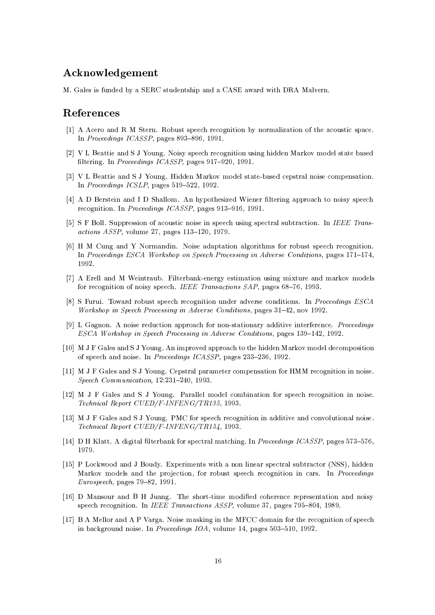# Acknowledgement

M. Gales is funded by a SERC studentship and a CASE award with DRA Malvern.

# References

- [1] A Acero and R M Stern. Robust speech recognition by normalization of the acoustic space. In Proceedings ICASSP, pages 893-896, 1991.
- [2] V L Beattie and S J Young. Noisy speech recognition using hidden Markov model state based filtering. In Proceedings ICASSP, pages 917-920, 1991.
- [3] V L Beattie and S J Young. Hidden Markov model state-based cepstral noise compensation. In Proceedings ICSLP, pages 519-522, 1992.
- [4] A D Berstein and I D Shallom. An hypothesized Wiener filtering approach to noisy speech recognition. In *Proceedings ICASSP*, pages 913-916, 1991.
- [5] S F Boll. Suppression of acoustic noise in speech using spectral subtraction. In IEEE Transactions ASSP, volume 27, pages 113-120, 1979.
- [6] H M Cung and Y Normandin. Noise adaptation algorithms for robust speech recognition. In Proceedings ESCA Workshop on Speech Processing in Adverse Conditions, pages 171–174, 1992.
- [7] A Erell and M Weintraub. Filterbank-energy estimation using mixture and markov models for recognition of noisy speech. IEEE Transactions SAP, pages 68-76, 1993.
- [8] S Furui. Toward robust speech recognition under adverse conditions. In Proceedings ESCA *Workshop in Speech Processing in Adverse Conditions, pages 31–42, nov 1992.*
- [9] L Gagnon. A noise reduction approach for non-stationary additive interference. Proceedings ESCA Workshop in Speech Processing in Adverse Conditions, pages 139-142, 1992.
- [10] M J F Gales and S J Young. An improved approach to the hidden Markov model decomposition of speech and noise. In Proceedings ICASSP, pages 233-236, 1992.
- [11] M J F Gales and S J Young. Cepstral parameter compensation for HMM recognition in noise. Speech Communication,  $12.231 - 240$ , 1993.
- [12] M J F Gales and S J Young. Parallel model combination for speech recognition in noise. Technical Report CUED/F-INFENG/TR135, 1993.
- [13] M J F Gales and S J Young. PMC for speech recognition in additive and convolutional noise. Technical Report CUED/F-INFENG/TR154, 1993.
- [14] D H Klatt. A digital filterbank for spectral matching. In Proceedings ICASSP, pages 573-576, 1979.
- [15] P Lockwood and J Boudy. Experiments with a non linear spectral subtractor (NSS), hidden Markov models and the projection, for robust speech recognition in cars. In *Proceedings* Eurospeech, pages 79-82, 1991.
- [16] D Mansour and B H Juang. The short-time modified coherence representation and noisy speech recognition. In IEEE Transactions ASSP, volume 37, pages 795-804, 1989.
- [17] B A Mellor and A P Varga. Noise masking in the MFCC domain for the recognition of speech in background noise. In *Proceedings IOA*, volume 14, pages 503-510, 1992.